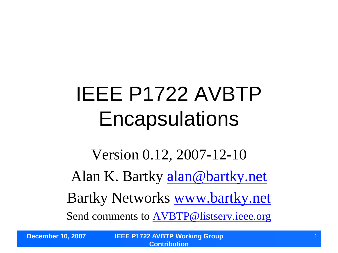## IEEE P1722 AVBTP **Encapsulations**

Version 0.12, 2007-12-10 Alan K. Bartky [alan@bartky.net](mailto:alan@bartky.net) Bartky Networks [www.bartky.net](http://www.bartky.net/) Send comments to [AVBTP@listserv.ieee.org](mailto:AVBTP@listserv.ieee.org)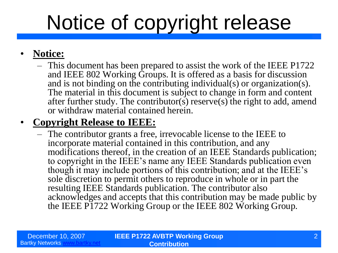# Notice of copyright release

#### • **Notice:**

– This document has been prepared to assist the work of the IEEE P1722 and IEEE 802 Working Groups. It is offered as a basis for discussion and is not binding on the contributing individual(s) or organization(s). The material in this document is subject to change in form and content after further study. The contributor(s) reserve(s) the right to add, amend or withdraw material contained herein.

#### • **Copyright Release to IEEE:**

– The contributor grants a free, irrevocable license to the IEEE to incorporate material contained in this contribution, and any modifications thereof, in the creation of an IEEE Standards publication; to copyright in the IEEE's name any IEEE Standards publication even though it may include portions of this contribution; and at the IEEE's sole discretion to permit others to reproduce in whole or in part the resulting IEEE Standards publication. The contributor also acknowledges and accepts that this contribution may be made public by the IEEE P1722 Working Group or the IEEE 802 Working Group.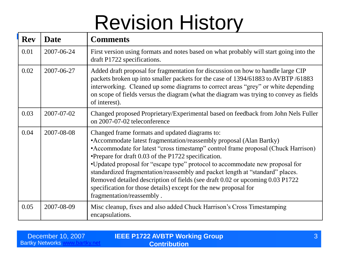## Revision History

| <b>Rev</b> | <b>Date</b> | <b>Comments</b>                                                                                                                                                                                                                                                                                                                                                                                                                                                                                                                                                                                                        |
|------------|-------------|------------------------------------------------------------------------------------------------------------------------------------------------------------------------------------------------------------------------------------------------------------------------------------------------------------------------------------------------------------------------------------------------------------------------------------------------------------------------------------------------------------------------------------------------------------------------------------------------------------------------|
| 0.01       | 2007-06-24  | First version using formats and notes based on what probably will start going into the<br>draft P1722 specifications.                                                                                                                                                                                                                                                                                                                                                                                                                                                                                                  |
| 0.02       | 2007-06-27  | Added draft proposal for fragmentation for discussion on how to handle large CIP<br>packets broken up into smaller packets for the case of 1394/61883 to AVBTP/61883<br>interworking. Cleaned up some diagrams to correct areas "grey" or white depending<br>on scope of fields versus the diagram (what the diagram was trying to convey as fields<br>of interest).                                                                                                                                                                                                                                                   |
| 0.03       | 2007-07-02  | Changed proposed Proprietary/Experimental based on feedback from John Nels Fuller<br>on 2007-07-02 teleconference                                                                                                                                                                                                                                                                                                                                                                                                                                                                                                      |
| 0.04       | 2007-08-08  | Changed frame formats and updated diagrams to:<br>• Accommodate latest fragmentation/reassembly proposal (Alan Bartky)<br>• Accommodate for latest "cross timestamp" control frame proposal (Chuck Harrison)<br>•Prepare for draft 0.03 of the P1722 specification.<br>•Updated proposal for "escape type" protocol to accommodate new proposal for<br>standardized fragmentation/reassembly and packet length at "standard" places.<br>Removed detailed description of fields (see draft 0.02 or upcoming 0.03 P1722<br>specification for those details) except for the new proposal for<br>fragmentation/reassembly. |
| 0.05       | 2007-08-09  | Misc cleanup, fixes and also added Chuck Harrison's Cross Timestamping<br>encapsulations.                                                                                                                                                                                                                                                                                                                                                                                                                                                                                                                              |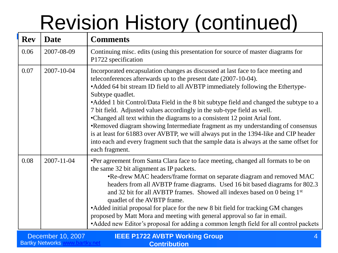# Revision History (continued)

| <b>Rev</b> | <b>Date</b>      | <b>Comments</b>                                                                                                                                                                                                                                                                                                                                                                                                                                                                                                                                                                                                                                                                                                                                                                                          |
|------------|------------------|----------------------------------------------------------------------------------------------------------------------------------------------------------------------------------------------------------------------------------------------------------------------------------------------------------------------------------------------------------------------------------------------------------------------------------------------------------------------------------------------------------------------------------------------------------------------------------------------------------------------------------------------------------------------------------------------------------------------------------------------------------------------------------------------------------|
| 0.06       | 2007-08-09       | Continuing misc. edits (using this presentation for source of master diagrams for<br>P1722 specification                                                                                                                                                                                                                                                                                                                                                                                                                                                                                                                                                                                                                                                                                                 |
| 0.07       | 2007-10-04       | Incorporated encapsulation changes as discussed at last face to face meeting and<br>teleconferences afterwards up to the present date (2007-10-04).<br>• Added 64 bit stream ID field to all AVBTP immediately following the Ethertype-<br>Subtype quadlet.<br>• Added 1 bit Control/Data Field in the 8 bit subtype field and changed the subtype to a<br>7 bit field. Adjusted values accordingly in the sub-type field as well.<br>•Changed all text within the diagrams to a consistent 12 point Arial font.<br>•Removed diagram showing Intermediate fragment as my understanding of consensus<br>is at least for 61883 over AVBTP, we will always put in the 1394-like and CIP header<br>into each and every fragment such that the sample data is always at the same offset for<br>each fragment. |
| 0.08       | $2007 - 11 - 04$ | •Per agreement from Santa Clara face to face meeting, changed all formats to be on<br>the same 32 bit alignment as IP packets.<br>•Re-drew MAC headers/frame format on separate diagram and removed MAC<br>headers from all AVBTP frame diagrams. Used 16 bit based diagrams for 802.3<br>and 32 bit for all AVBTP frames. Showed all indexes based on 0 being 1st<br>quadlet of the AVBTP frame.<br>• Added initial proposal for place for the new 8 bit field for tracking GM changes<br>proposed by Matt Mora and meeting with general approval so far in email.<br>• Added new Editor's proposal for adding a common length field for all control packets                                                                                                                                            |

| December 10, 2007      | <b>IEEE P1722 AVBTP Working Group</b> |
|------------------------|---------------------------------------|
| <b>Bartky Networks</b> | <b>Contribution</b>                   |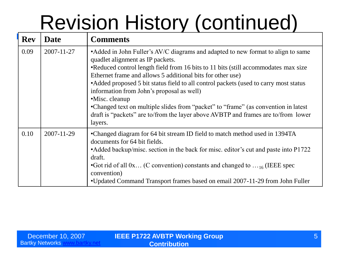# Revision History (continued)

| <b>Rev</b> | <b>Date</b> | <b>Comments</b>                                                                                                                                                                                                                                                                                                                                                                                                                                                                                                                                                                                                         |
|------------|-------------|-------------------------------------------------------------------------------------------------------------------------------------------------------------------------------------------------------------------------------------------------------------------------------------------------------------------------------------------------------------------------------------------------------------------------------------------------------------------------------------------------------------------------------------------------------------------------------------------------------------------------|
| 0.09       | 2007-11-27  | • Added in John Fuller's AV/C diagrams and adapted to new format to align to same<br>quadlet alignment as IP packets.<br>•Reduced control length field from 16 bits to 11 bits (still accommodates max size<br>Ethernet frame and allows 5 additional bits for other use)<br>• Added proposed 5 bit status field to all control packets (used to carry most status<br>information from John's proposal as well)<br>•Misc. cleanup<br>•Changed text on multiple slides from "packet" to "frame" (as convention in latest<br>draft is "packets" are to/from the layer above AVBTP and frames are to/from lower<br>layers. |
| 0.10       | 2007-11-29  | •Changed diagram for 64 bit stream ID field to match method used in 1394TA<br>documents for 64 bit fields.<br>• Added backup/misc. section in the back for misc. editor's cut and paste into P1722<br>draft.<br>• Got rid of all $0x$ (C convention) constants and changed to $\dots$ 16 (IEEE spec<br>convention)<br>•Updated Command Transport frames based on email 2007-11-29 from John Fuller                                                                                                                                                                                                                      |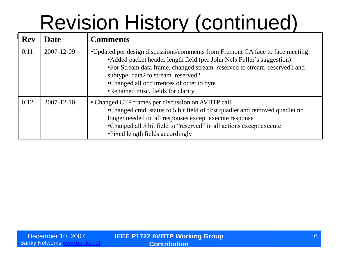# Revision History (continued)

| <b>Rev</b> | <b>Date</b>      | <b>Comments</b>                                                                                                                                                                                                                                                                                                                                           |
|------------|------------------|-----------------------------------------------------------------------------------------------------------------------------------------------------------------------------------------------------------------------------------------------------------------------------------------------------------------------------------------------------------|
| 0.11       | 2007-12-09       | •Updated per design discussions/comments from Fremont CA face to face meeting<br>• Added packet header length field (per John Nels Fuller's suggestion)<br>•For Stream data frame, changed stream_reserved to stream_reserved1 and<br>subtype_data2 to stream_reserved2<br>•Changed all occurrences of octet to byte<br>•Renamed misc. fields for clarity |
| 0.12       | $2007 - 12 - 10$ | • Changed CTP frames per discussion on AVBTP call<br>•Changed cmd_status to 5 bit field of first quadlet and removed quadlet no<br>longer needed on all responses except execute response<br>•Changed all 5 bit field to "reserved" in all actions except execute<br>• Fixed length fields accordingly                                                    |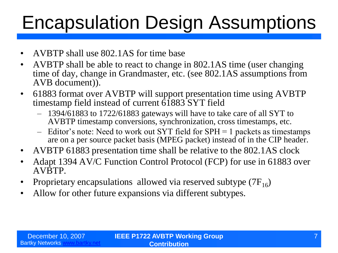### Encapsulation Design Assumptions

- AVBTP shall use 802.1AS for time base
- AVBTP shall be able to react to change in 802.1AS time (user changing time of day, change in Grandmaster, etc. (see 802.1AS assumptions from AVB document)).
- 61883 format over AVBTP will support presentation time using AVBTP timestamp field instead of current  $\overline{61883}$  SYT field
	- 1394/61883 to 1722/61883 gateways will have to take care of all SYT to AVBTP timestamp conversions, synchronization, cross timestamps, etc.
	- Editor's note: Need to work out SYT field for SPH = 1 packets as timestamps are on a per source packet basis (MPEG packet) instead of in the CIP header.
- AVBTP 61883 presentation time shall be relative to the 802.1AS clock
- Adapt 1394 AV/C Function Control Protocol (FCP) for use in 61883 over AVBTP.
- Proprietary encapsulations allowed via reserved subtype  $(7F_{16})$
- Allow for other future expansions via different subtypes.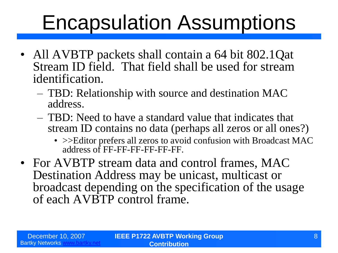### Encapsulation Assumptions

- All AVBTP packets shall contain a 64 bit 802.1Qat Stream ID field. That field shall be used for stream identification.
	- TBD: Relationship with source and destination MAC address.
	- TBD: Need to have a standard value that indicates that stream ID contains no data (perhaps all zeros or all ones?)
		- >>Editor prefers all zeros to avoid confusion with Broadcast MAC address of FF-FF-FF-FF-FF-FF.
- For AVBTP stream data and control frames, MAC Destination Address may be unicast, multicast or broadcast depending on the specification of the usage of each AVBTP control frame.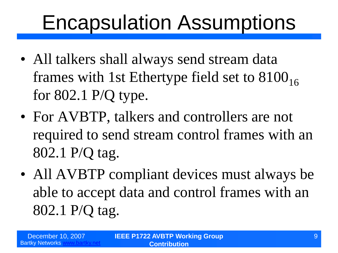### Encapsulation Assumptions

- All talkers shall always send stream data frames with 1st Ethertype field set to  $8100_{16}$ for 802.1 P/Q type.
- For AVBTP, talkers and controllers are not required to send stream control frames with an 802.1 P/Q tag.
- All AVBTP compliant devices must always be able to accept data and control frames with an 802.1 P/Q tag.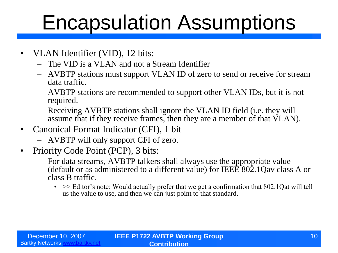### Encapsulation Assumptions

- VLAN Identifier (VID), 12 bits:
	- The VID is a VLAN and not a Stream Identifier
	- AVBTP stations must support VLAN ID of zero to send or receive for stream data traffic.
	- AVBTP stations are recommended to support other VLAN IDs, but it is not required.
	- Receiving AVBTP stations shall ignore the VLAN ID field (i.e. they will assume that if they receive frames, then they are a member of that VLAN).
- Canonical Format Indicator (CFI), 1 bit
	- AVBTP will only support CFI of zero.
- Priority Code Point (PCP), 3 bits:
	- For data streams, AVBTP talkers shall always use the appropriate value (default or as administered to a different value) for IEEE 802.1Qav class A or class B traffic.
		- $\bullet \Rightarrow$  Editor's note: Would actually prefer that we get a confirmation that 802.1Qat will tell us the value to use, and then we can just point to that standard.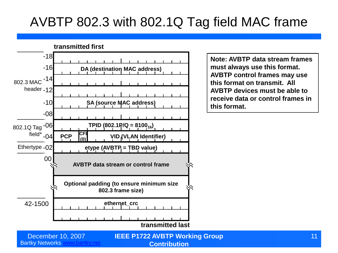### AVBTP 802.3 with 802.1Q Tag field MAC frame



**Note: AVBTP data stream frames must always use this format. AVBTP control frames may use this format on transmit. All AVBTP devices must be able to receive data or control frames in this format.**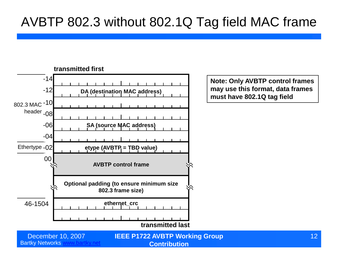#### AVBTP 802.3 without 802.1Q Tag field MAC frame



**Note: Only AVBTP control frames may use this format, data frames must have 802.1Q tag field**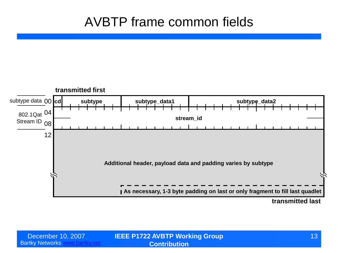#### AVBTP frame common fields

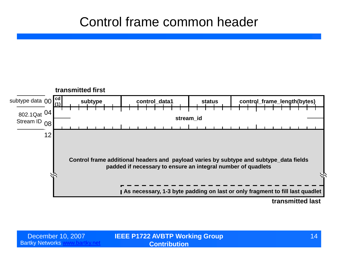#### Control frame common header

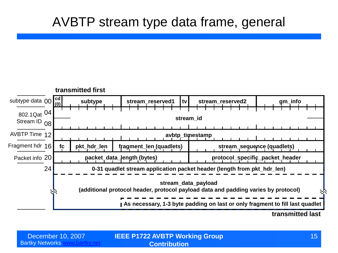#### AVBTP stream type data frame, general

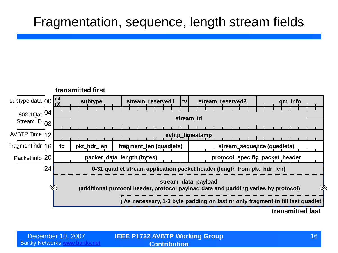#### Fragmentation, sequence, length stream fields

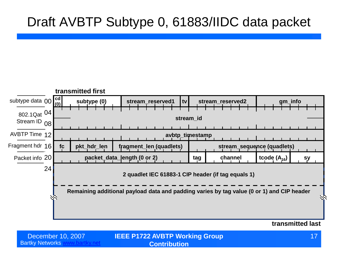#### Draft AVBTP Subtype 0, 61883/IIDC data packet



**transmitted last**

**December 10, 2007 <b>IEEE P1722 AVBTP Working Group THE CONST AND A SET A** 17 **Contribution**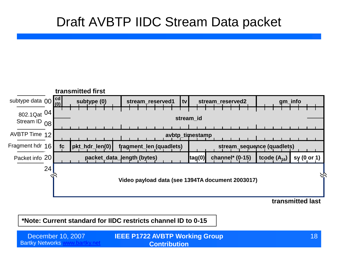#### Draft AVBTP IIDC Stream Data packet



**transmitted last**

**\*Note: Current standard for IIDC restricts channel ID to 0-15**

**Bartky Networks [www.bartky.net](http://www.bartky.net/) IEEE P1722 AVBTP Working Group**  December 10, 2007 18 **Contribution**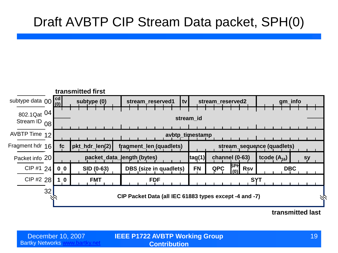### Draft AVBTP CIP Stream Data packet, SPH(0)



**transmitted last**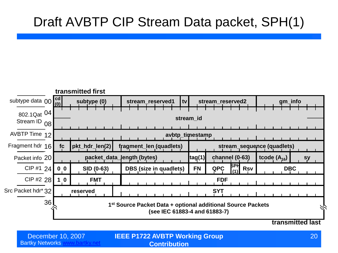### Draft AVBTP CIP Stream Data packet, SPH(1)



**Bartky Networks [www.bartky.net](http://www.bartky.net/)** 

**IEEE P1722 AVBTP Working Group**  December 10, 2007 20 **Contribution**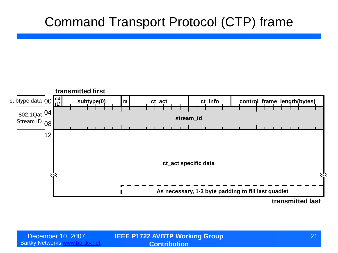#### Command Transport Protocol (CTP) frame



**transmitted last**

Bartky Networks [www.bartky.net](http://www.bartky.net/)

**IEEE P1722 AVBTP Working Group**  December 10, 2007 21 **Contribution**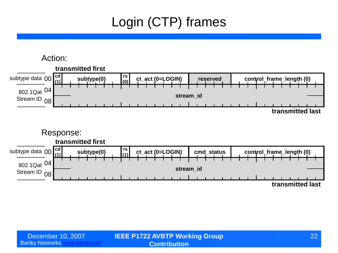### Login (CTP) frames

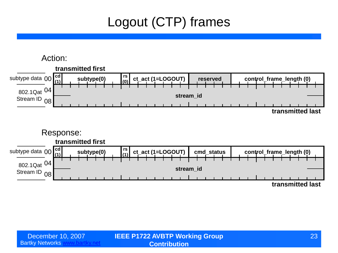### Logout (CTP) frames

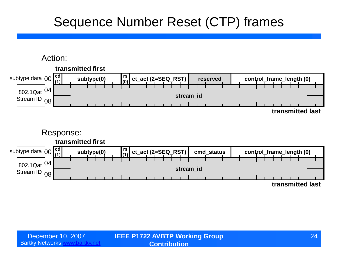### Sequence Number Reset (CTP) frames

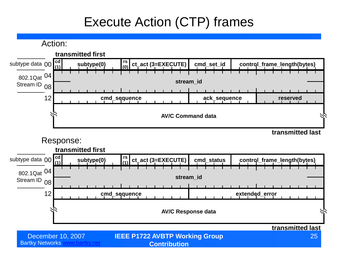### Execute Action (CTP) frames

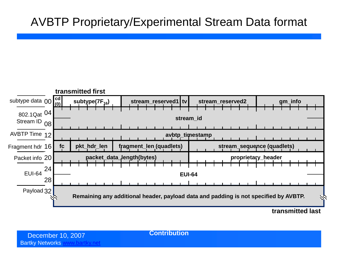#### AVBTP Proprietary/Experimental Stream Data format



**transmitted last**

**Contribution**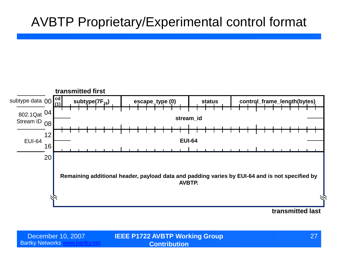#### AVBTP Proprietary/Experimental control format



**IEEE P1722 AVBTP Working Group**  December 10, 2007 27 **Contribution**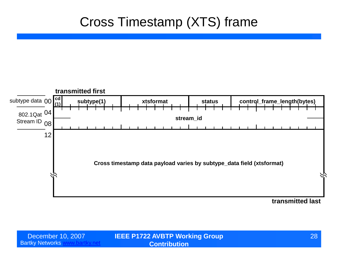#### Cross Timestamp (XTS) frame



**transmitted last**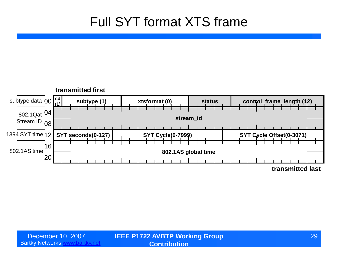#### Full SYT format XTS frame

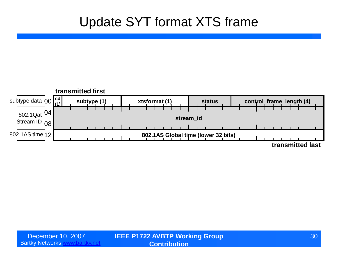#### Update SYT format XTS frame

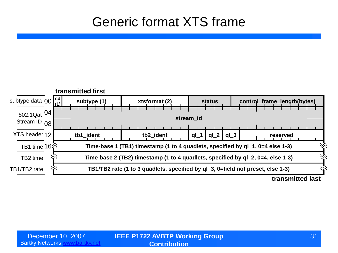#### Generic format XTS frame

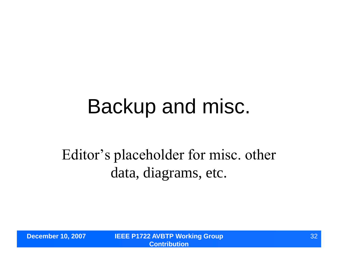### Backup and misc.

### Editor's placeholder for misc. other data, diagrams, etc.

**December 10, 2007 IEEE P1722 AVBTP Working Group Contribution**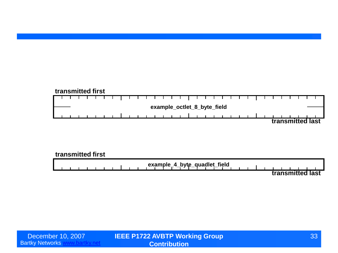#### **transmitted first** ┬ ┱ **example\_octlet\_8\_byte\_field transmitted last**

#### **transmitted first**

**example\_4\_byte\_quadlet\_field transmitted last**